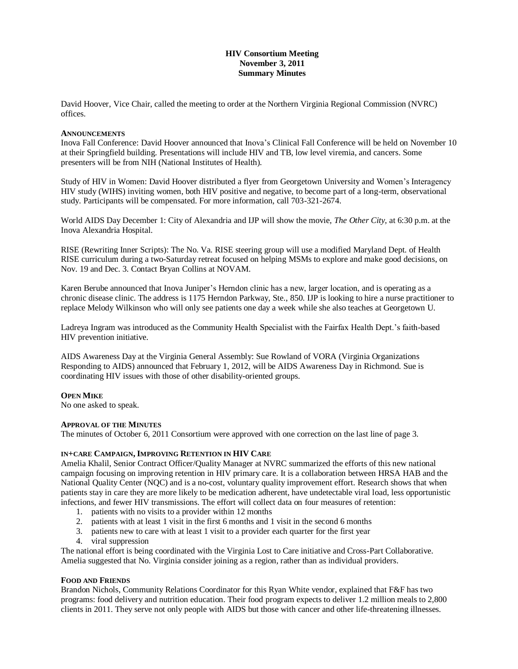# **HIV Consortium Meeting November 3, 2011 Summary Minutes**

David Hoover, Vice Chair, called the meeting to order at the Northern Virginia Regional Commission (NVRC) offices.

#### **ANNOUNCEMENTS**

Inova Fall Conference: David Hoover announced that Inova's Clinical Fall Conference will be held on November 10 at their Springfield building. Presentations will include HIV and TB, low level viremia, and cancers. Some presenters will be from NIH (National Institutes of Health).

Study of HIV in Women: David Hoover distributed a flyer from Georgetown University and Women's Interagency HIV study (WIHS) inviting women, both HIV positive and negative, to become part of a long-term, observational study. Participants will be compensated. For more information, call 703-321-2674.

World AIDS Day December 1: City of Alexandria and IJP will show the movie, *The Other City,* at 6:30 p.m. at the Inova Alexandria Hospital.

RISE (Rewriting Inner Scripts): The No. Va. RISE steering group will use a modified Maryland Dept. of Health RISE curriculum during a two-Saturday retreat focused on helping MSMs to explore and make good decisions, on Nov. 19 and Dec. 3. Contact Bryan Collins at NOVAM.

Karen Berube announced that Inova Juniper's Herndon clinic has a new, larger location, and is operating as a chronic disease clinic. The address is 1175 Herndon Parkway, Ste., 850. IJP is looking to hire a nurse practitioner to replace Melody Wilkinson who will only see patients one day a week while she also teaches at Georgetown U.

Ladreya Ingram was introduced as the Community Health Specialist with the Fairfax Health Dept.'s faith-based HIV prevention initiative.

AIDS Awareness Day at the Virginia General Assembly: Sue Rowland of VORA (Virginia Organizations Responding to AIDS) announced that February 1, 2012, will be AIDS Awareness Day in Richmond. Sue is coordinating HIV issues with those of other disability-oriented groups.

### **OPEN MIKE**

No one asked to speak.

### **APPROVAL OF THE MINUTES**

The minutes of October 6, 2011 Consortium were approved with one correction on the last line of page 3.

### **IN+CARE CAMPAIGN, IMPROVING RETENTION IN HIV CARE**

Amelia Khalil, Senior Contract Officer/Quality Manager at NVRC summarized the efforts of this new national campaign focusing on improving retention in HIV primary care. It is a collaboration between HRSA HAB and the National Quality Center (NQC) and is a no-cost, voluntary quality improvement effort. Research shows that when patients stay in care they are more likely to be medication adherent, have undetectable viral load, less opportunistic infections, and fewer HIV transmissions. The effort will collect data on four measures of retention:

- 1. patients with no visits to a provider within 12 months
- 2. patients with at least 1 visit in the first 6 months and 1 visit in the second 6 months
- 3. patients new to care with at least 1 visit to a provider each quarter for the first year
- 4. viral suppression

The national effort is being coordinated with the Virginia Lost to Care initiative and Cross-Part Collaborative. Amelia suggested that No. Virginia consider joining as a region, rather than as individual providers.

### **FOOD AND FRIENDS**

Brandon Nichols, Community Relations Coordinator for this Ryan White vendor, explained that F&F has two programs: food delivery and nutrition education. Their food program expects to deliver 1.2 million meals to 2,800 clients in 2011. They serve not only people with AIDS but those with cancer and other life-threatening illnesses.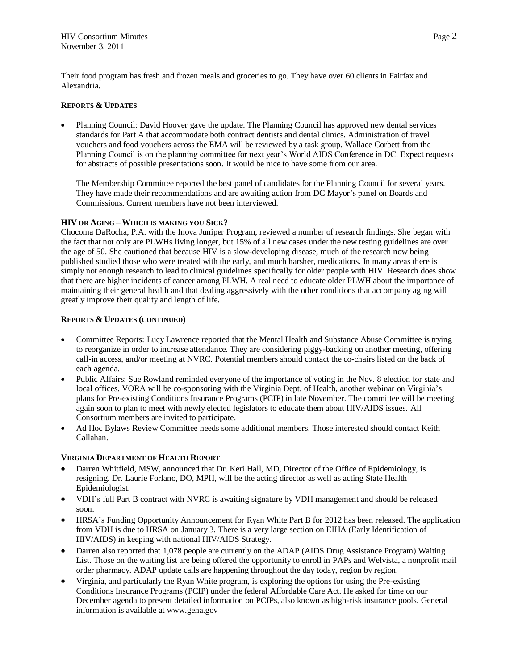Their food program has fresh and frozen meals and groceries to go. They have over 60 clients in Fairfax and Alexandria.

## **REPORTS & UPDATES**

 Planning Council: David Hoover gave the update. The Planning Council has approved new dental services standards for Part A that accommodate both contract dentists and dental clinics. Administration of travel vouchers and food vouchers across the EMA will be reviewed by a task group. Wallace Corbett from the Planning Council is on the planning committee for next year's World AIDS Conference in DC. Expect requests for abstracts of possible presentations soon. It would be nice to have some from our area.

The Membership Committee reported the best panel of candidates for the Planning Council for several years. They have made their recommendations and are awaiting action from DC Mayor's panel on Boards and Commissions. Current members have not been interviewed.

### **HIV OR AGING – WHICH IS MAKING YOU SICK?**

Chocoma DaRocha, P.A. with the Inova Juniper Program, reviewed a number of research findings. She began with the fact that not only are PLWHs living longer, but 15% of all new cases under the new testing guidelines are over the age of 50. She cautioned that because HIV is a slow-developing disease, much of the research now being published studied those who were treated with the early, and much harsher, medications. In many areas there is simply not enough research to lead to clinical guidelines specifically for older people with HIV. Research does show that there are higher incidents of cancer among PLWH. A real need to educate older PLWH about the importance of maintaining their general health and that dealing aggressively with the other conditions that accompany aging will greatly improve their quality and length of life.

### **REPORTS & UPDATES (CONTINUED)**

- Committee Reports: Lucy Lawrence reported that the Mental Health and Substance Abuse Committee is trying to reorganize in order to increase attendance. They are considering piggy-backing on another meeting, offering call-in access, and/or meeting at NVRC. Potential members should contact the co-chairs listed on the back of each agenda.
- Public Affairs: Sue Rowland reminded everyone of the importance of voting in the Nov. 8 election for state and local offices. VORA will be co-sponsoring with the Virginia Dept. of Health, another webinar on Virginia's plans for Pre-existing Conditions Insurance Programs (PCIP) in late November. The committee will be meeting again soon to plan to meet with newly elected legislators to educate them about HIV/AIDS issues. All Consortium members are invited to participate.
- Ad Hoc Bylaws Review Committee needs some additional members. Those interested should contact Keith Callahan.

# **VIRGINIA DEPARTMENT OF HEALTH REPORT**

- Darren Whitfield, MSW, announced that Dr. Keri Hall, MD, Director of the Office of Epidemiology, is resigning. Dr. Laurie Forlano, DO, MPH, will be the acting director as well as acting State Health Epidemiologist.
- VDH's full Part B contract with NVRC is awaiting signature by VDH management and should be released soon.
- HRSA's Funding Opportunity Announcement for Ryan White Part B for 2012 has been released. The application from VDH is due to HRSA on January 3. There is a very large section on EIHA (Early Identification of HIV/AIDS) in keeping with national HIV/AIDS Strategy.
- Darren also reported that 1,078 people are currently on the ADAP (AIDS Drug Assistance Program) Waiting List. Those on the waiting list are being offered the opportunity to enroll in PAPs and Welvista, a nonprofit mail order pharmacy. ADAP update calls are happening throughout the day today, region by region.
- Virginia, and particularly the Ryan White program, is exploring the options for using the Pre-existing Conditions Insurance Programs (PCIP) under the federal Affordable Care Act. He asked for time on our December agenda to present detailed information on PCIPs, also known as high-risk insurance pools. General information is available at www.geha.gov